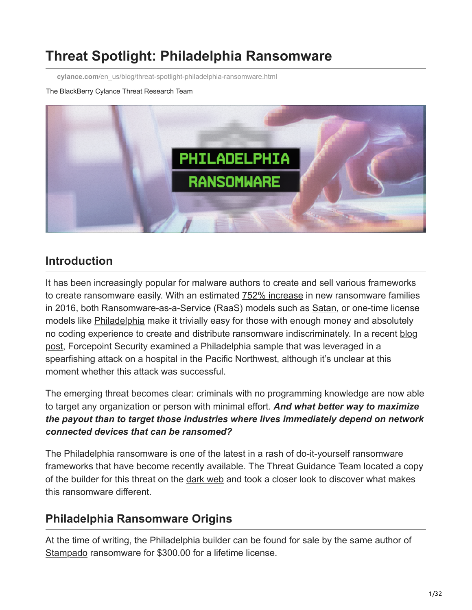# **Threat Spotlight: Philadelphia Ransomware**

**cylance.com**[/en\\_us/blog/threat-spotlight-philadelphia-ransomware.html](https://www.cylance.com/en_us/blog/threat-spotlight-philadelphia-ransomware.html)

#### The BlackBerry Cylance Threat Research Team



### **Introduction**

It has been increasingly popular for malware authors to create and sell various frameworks to create ransomware easily. With an estimated [752% increase](https://www.trendmicro.com/vinfo/us/security/research-and-analysis/threat-reports/roundup) in new ransomware families in 2016, both Ransomware-as-a-Service (RaaS) models such as [Satan](https://threatvector.cylance.com/en_us/home/threat-spotlight-satan-raas.html), or one-time license models like **Philadelphia** make it trivially easy for those with enough money and absolutely [no coding experience to create and distribute ransomware indiscriminately. In a recent blog](https://blogs.forcepoint.com/security-labs/shelf-ransomware-used-target-healthcare-sector) post, Forcepoint Security examined a Philadelphia sample that was leveraged in a spearfishing attack on a hospital in the Pacific Northwest, although it's unclear at this moment whether this attack was successful.

The emerging threat becomes clear: criminals with no programming knowledge are now able to target any organization or person with minimal effort. *And what better way to maximize the payout than to target those industries where lives immediately depend on network connected devices that can be ransomed?*

The Philadelphia ransomware is one of the latest in a rash of do-it-yourself ransomware frameworks that have become recently available. The Threat Guidance Team located a copy of the builder for this threat on the [dark web](https://en.wikipedia.org/wiki/Dark_web) and took a closer look to discover what makes this ransomware different.

### **Philadelphia Ransomware Origins**

At the time of writing, the Philadelphia builder can be found for sale by the same author of [Stampado](https://www.scmagazine.com/stampado-ransomare-cheap-but-easily-decrypted/article/575059/) ransomware for \$300.00 for a lifetime license.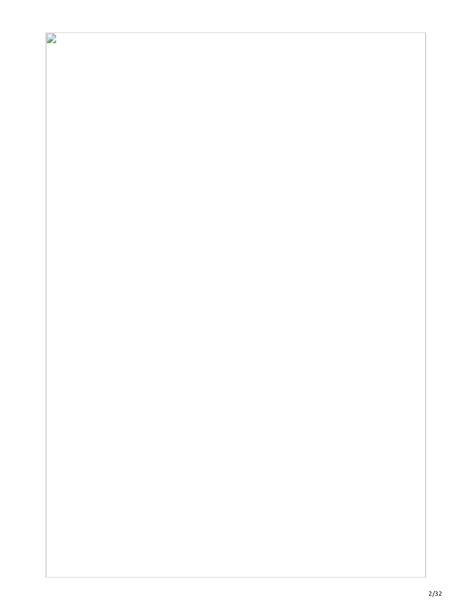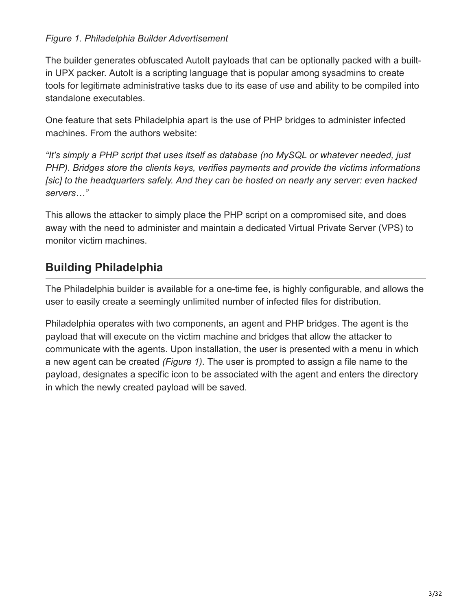#### *Figure 1. Philadelphia Builder Advertisement*

The builder generates obfuscated AutoIt payloads that can be optionally packed with a builtin UPX packer. Autolt is a scripting language that is popular among sysadmins to create tools for legitimate administrative tasks due to its ease of use and ability to be compiled into standalone executables.

One feature that sets Philadelphia apart is the use of PHP bridges to administer infected machines. From the authors website:

*"It's simply a PHP script that uses itself as database (no MySQL or whatever needed, just PHP). Bridges store the clients keys, verifies payments and provide the victims informations [sic] to the headquarters safely. And they can be hosted on nearly any server: even hacked servers…"*

This allows the attacker to simply place the PHP script on a compromised site, and does away with the need to administer and maintain a dedicated Virtual Private Server (VPS) to monitor victim machines.

## **Building Philadelphia**

The Philadelphia builder is available for a one-time fee, is highly configurable, and allows the user to easily create a seemingly unlimited number of infected files for distribution.

Philadelphia operates with two components, an agent and PHP bridges. The agent is the payload that will execute on the victim machine and bridges that allow the attacker to communicate with the agents. Upon installation, the user is presented with a menu in which a new agent can be created *(Figure 1).* The user is prompted to assign a file name to the payload, designates a specific icon to be associated with the agent and enters the directory in which the newly created payload will be saved.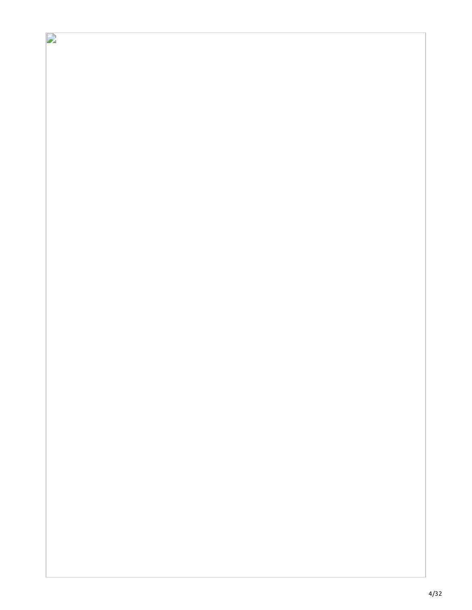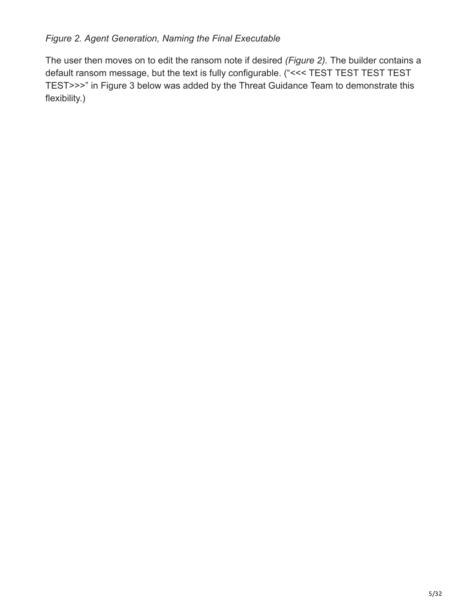#### *Figure 2. Agent Generation, Naming the Final Executable*

The user then moves on to edit the ransom note if desired *(Figure 2).* The builder contains a default ransom message, but the text is fully configurable. ("<<< TEST TEST TEST TEST TEST>>>" in Figure 3 below was added by the Threat Guidance Team to demonstrate this flexibility.)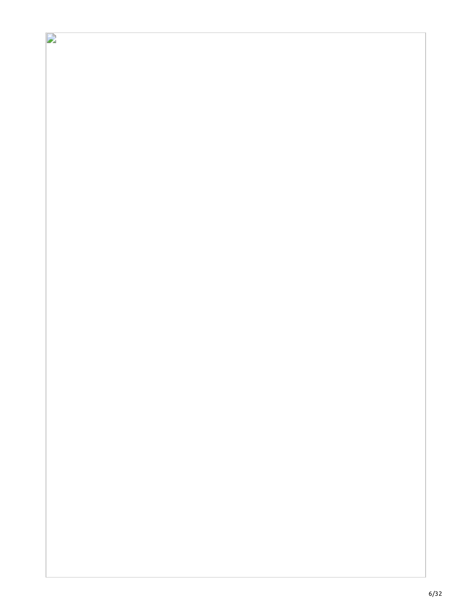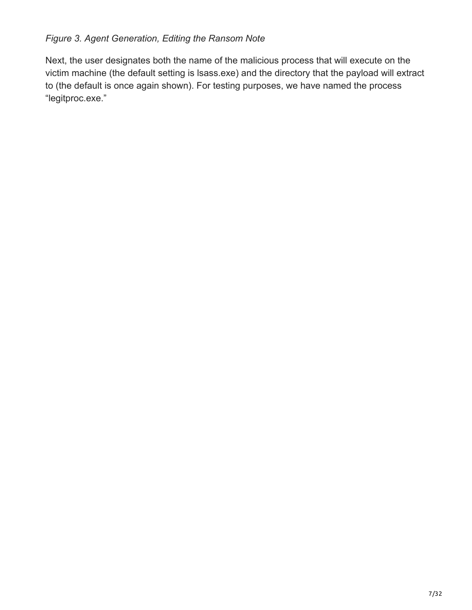#### *Figure 3. Agent Generation, Editing the Ransom Note*

Next, the user designates both the name of the malicious process that will execute on the victim machine (the default setting is lsass.exe) and the directory that the payload will extract to (the default is once again shown). For testing purposes, we have named the process "legitproc.exe."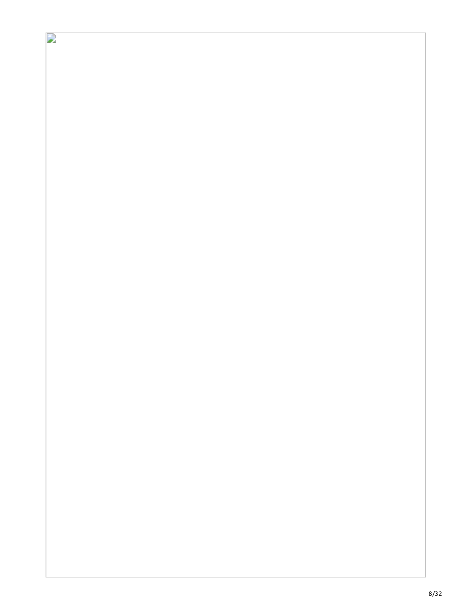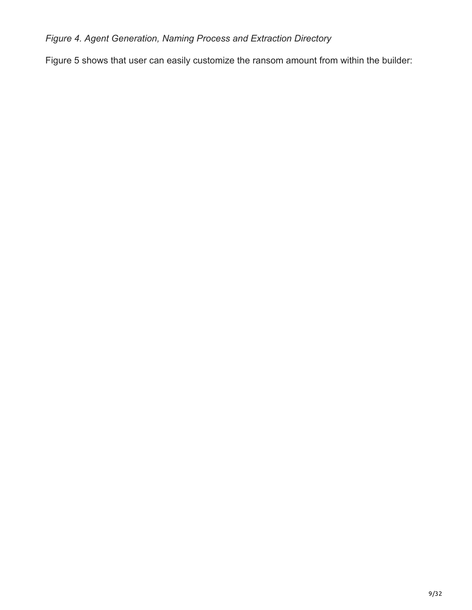### *Figure 4. Agent Generation, Naming Process and Extraction Directory*

Figure 5 shows that user can easily customize the ransom amount from within the builder: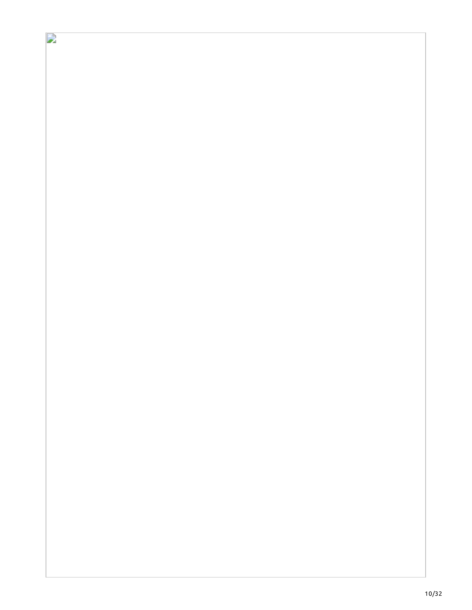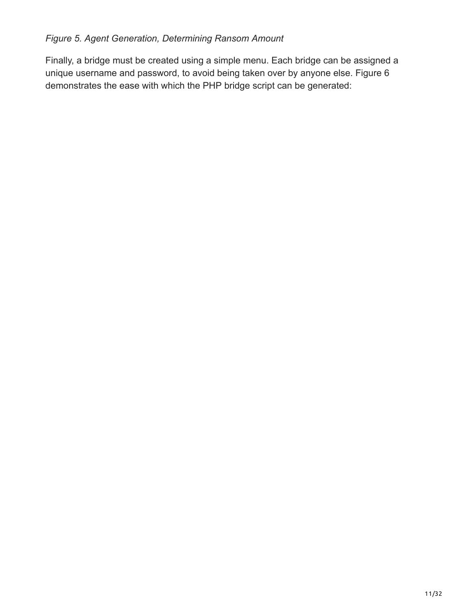#### *Figure 5. Agent Generation, Determining Ransom Amount*

Finally, a bridge must be created using a simple menu. Each bridge can be assigned a unique username and password, to avoid being taken over by anyone else. Figure 6 demonstrates the ease with which the PHP bridge script can be generated: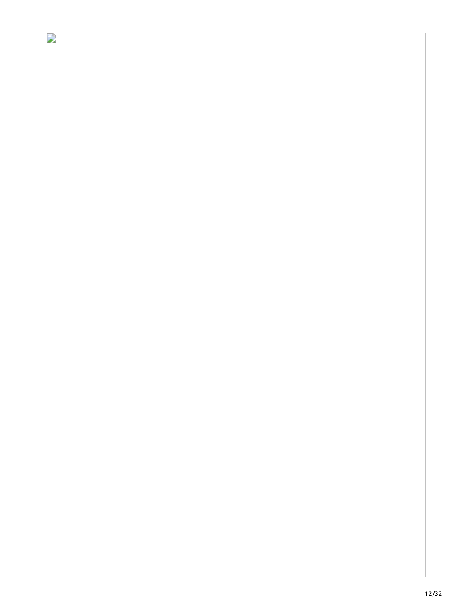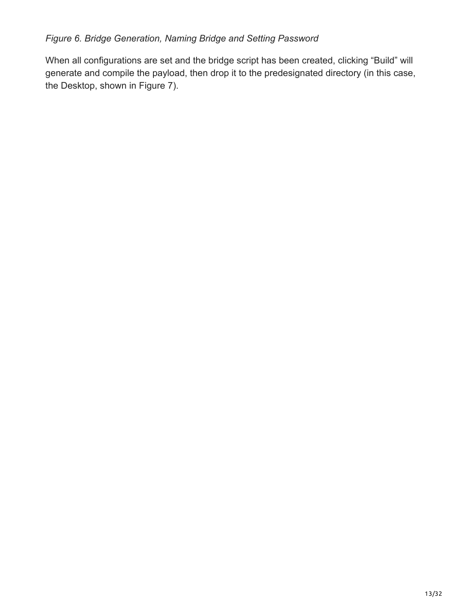#### *Figure 6. Bridge Generation, Naming Bridge and Setting Password*

When all configurations are set and the bridge script has been created, clicking "Build" will generate and compile the payload, then drop it to the predesignated directory (in this case, the Desktop, shown in Figure 7).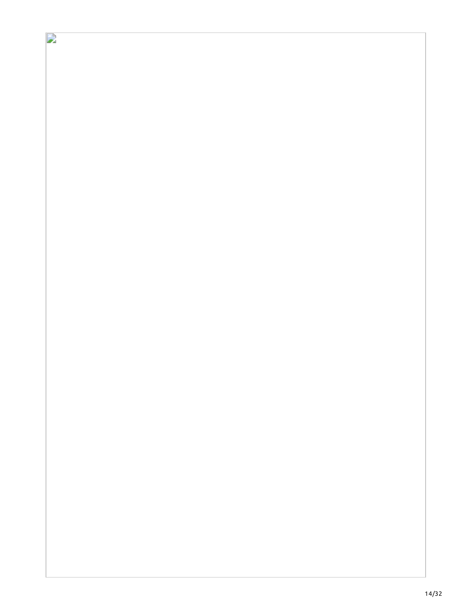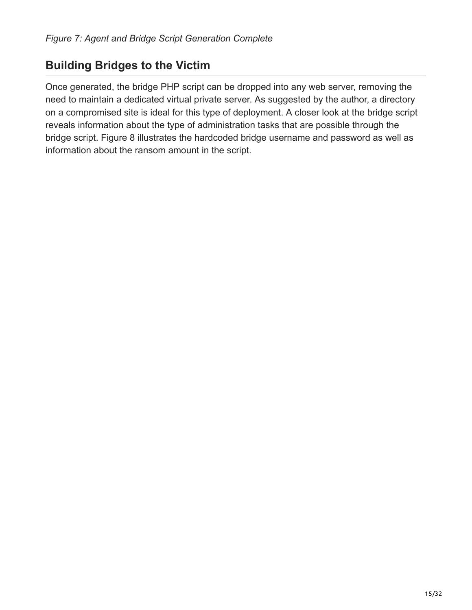### **Building Bridges to the Victim**

Once generated, the bridge PHP script can be dropped into any web server, removing the need to maintain a dedicated virtual private server. As suggested by the author, a directory on a compromised site is ideal for this type of deployment. A closer look at the bridge script reveals information about the type of administration tasks that are possible through the bridge script. Figure 8 illustrates the hardcoded bridge username and password as well as information about the ransom amount in the script.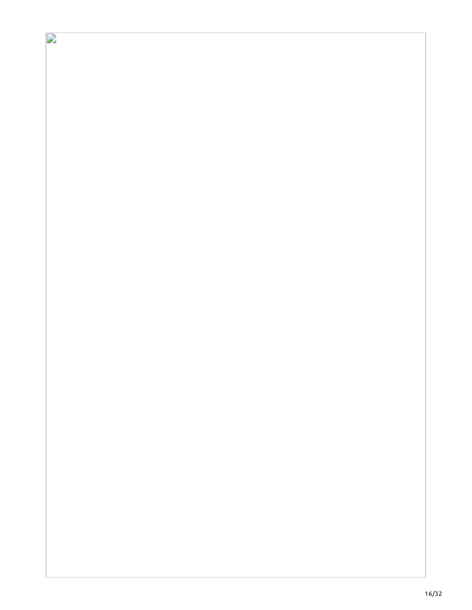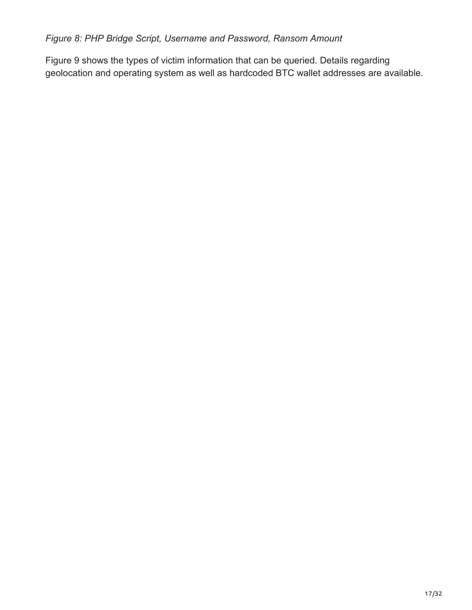#### *Figure 8: PHP Bridge Script, Username and Password, Ransom Amount*

Figure 9 shows the types of victim information that can be queried. Details regarding geolocation and operating system as well as hardcoded BTC wallet addresses are available.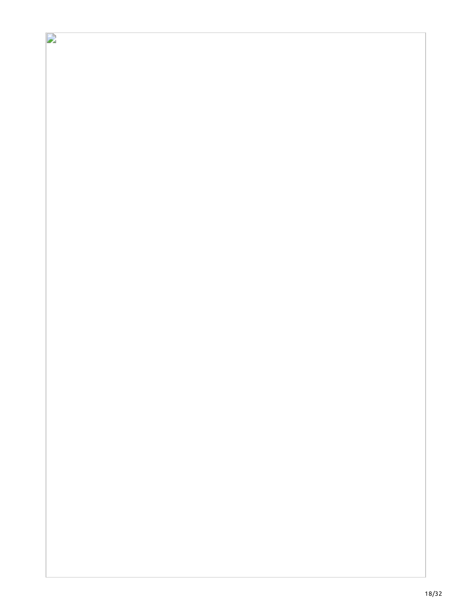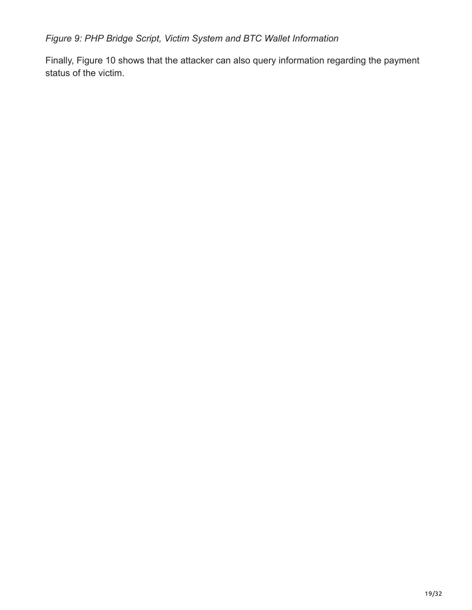*Figure 9: PHP Bridge Script, Victim System and BTC Wallet Information*

Finally, Figure 10 shows that the attacker can also query information regarding the payment status of the victim.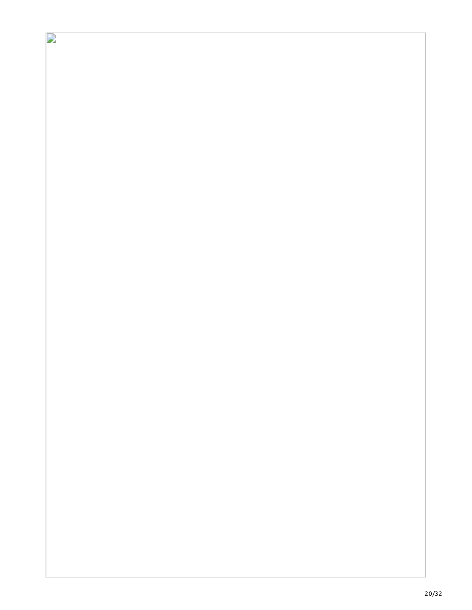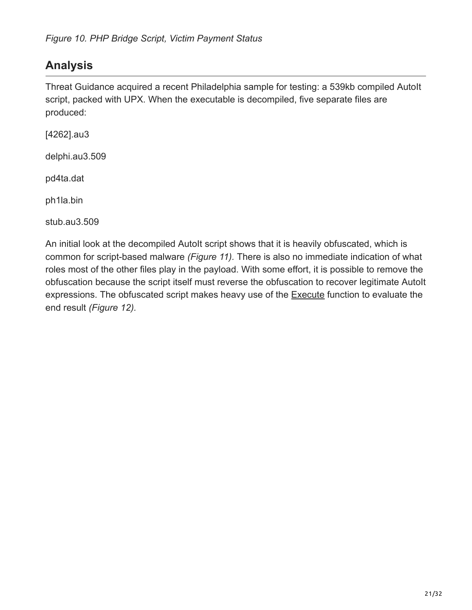### **Analysis**

Threat Guidance acquired a recent Philadelphia sample for testing: a 539kb compiled AutoIt script, packed with UPX. When the executable is decompiled, five separate files are produced:

[4262].au3

delphi.au3.509

pd4ta.dat

ph1la.bin

stub.au3.509

An initial look at the decompiled AutoIt script shows that it is heavily obfuscated, which is common for script-based malware *(Figure 11).* There is also no immediate indication of what roles most of the other files play in the payload. With some effort, it is possible to remove the obfuscation because the script itself must reverse the obfuscation to recover legitimate AutoIt expressions. The obfuscated script makes heavy use of the **Execute** function to evaluate the end result *(Figure 12).*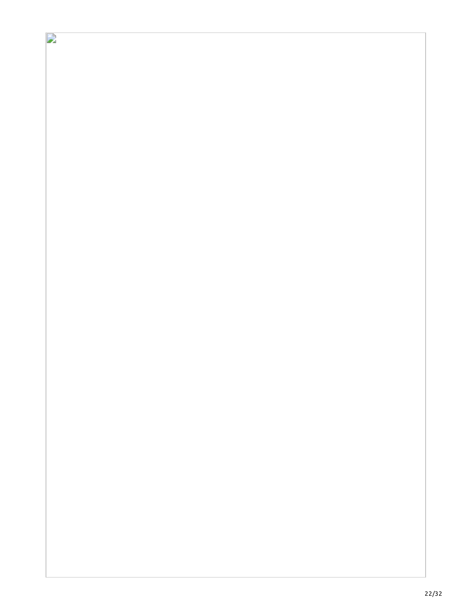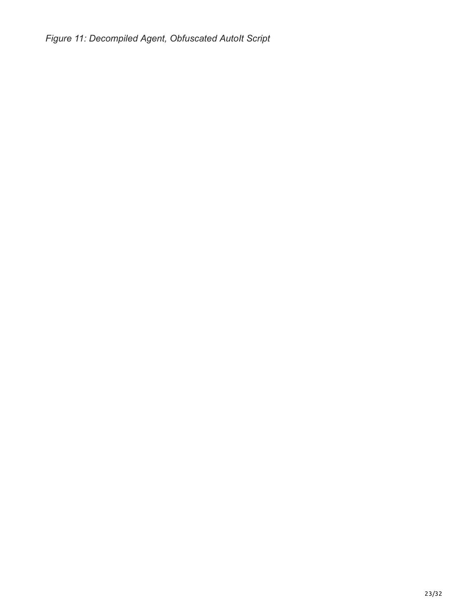*Figure 11: Decompiled Agent, Obfuscated AutoIt Script*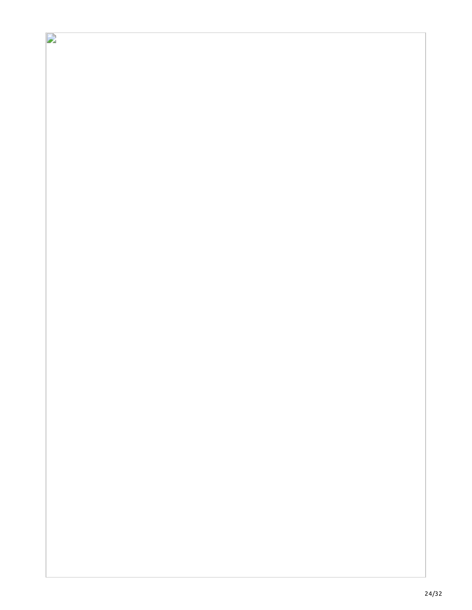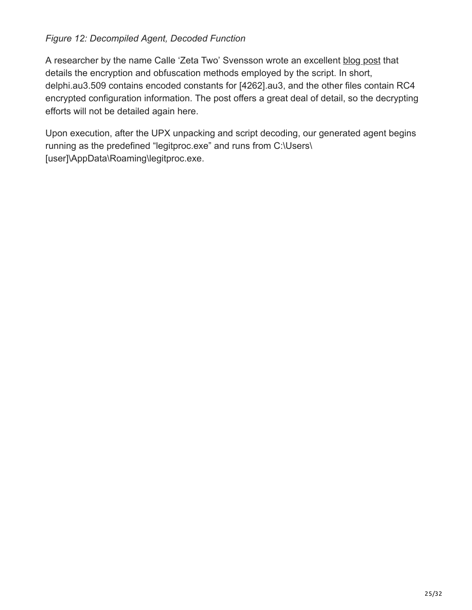#### *Figure 12: Decompiled Agent, Decoded Function*

A researcher by the name Calle 'Zeta Two' Svensson wrote an excellent [blog post](https://zeta-two.com/reversing/2017/03/20/gothenburg-malware.html) that details the encryption and obfuscation methods employed by the script. In short, delphi.au3.509 contains encoded constants for [4262].au3, and the other files contain RC4 encrypted configuration information. The post offers a great deal of detail, so the decrypting efforts will not be detailed again here.

Upon execution, after the UPX unpacking and script decoding, our generated agent begins running as the predefined "legitproc.exe" and runs from C:\Users\ [user]\AppData\Roaming\legitproc.exe.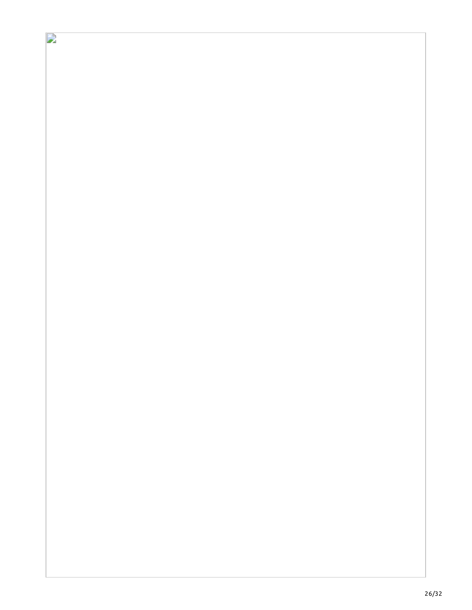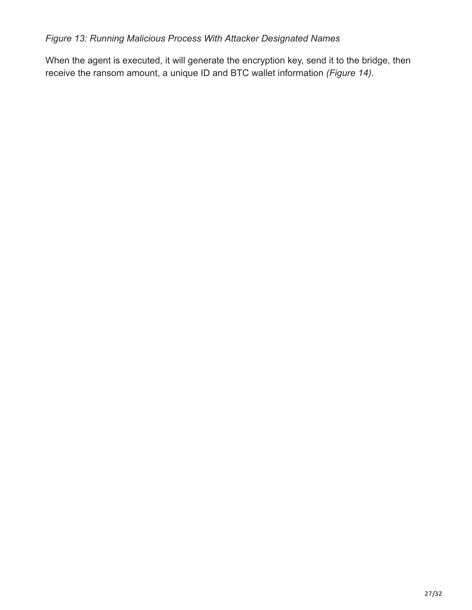#### *Figure 13: Running Malicious Process With Attacker Designated Names*

When the agent is executed, it will generate the encryption key, send it to the bridge, then receive the ransom amount, a unique ID and BTC wallet information *(Figure 14)*.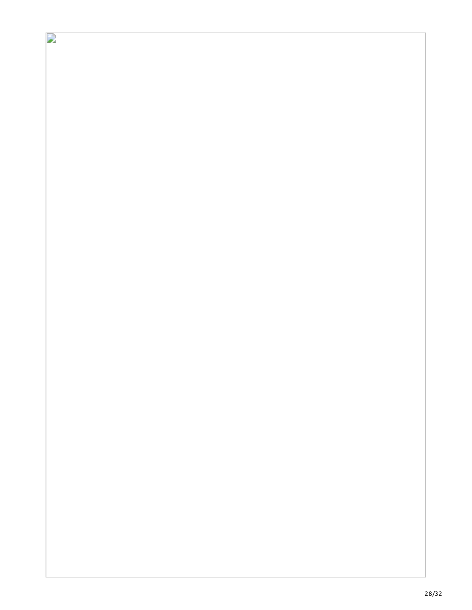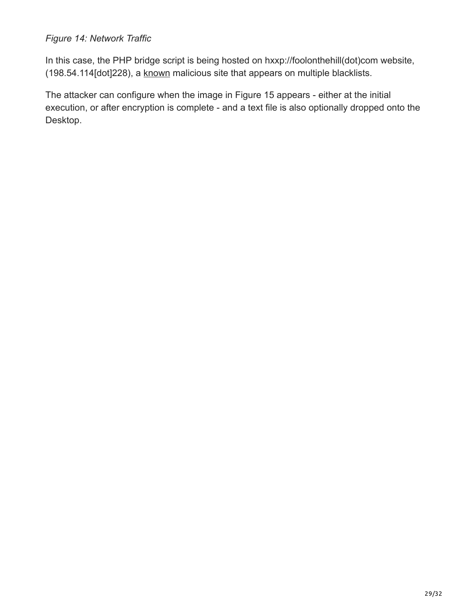#### *Figure 14: Network Traffic*

In this case, the PHP bridge script is being hosted on hxxp://foolonthehill(dot)com website, (198.54.114[dot]228), a [known](https://www.virustotal.com/en/url/07995a645b7233c2f8f5bf671e4ffe19d143404d3a61fdbb914ed1f7a91a1d57/analysis/1492603985/) malicious site that appears on multiple blacklists.

The attacker can configure when the image in Figure 15 appears - either at the initial execution, or after encryption is complete - and a text file is also optionally dropped onto the Desktop.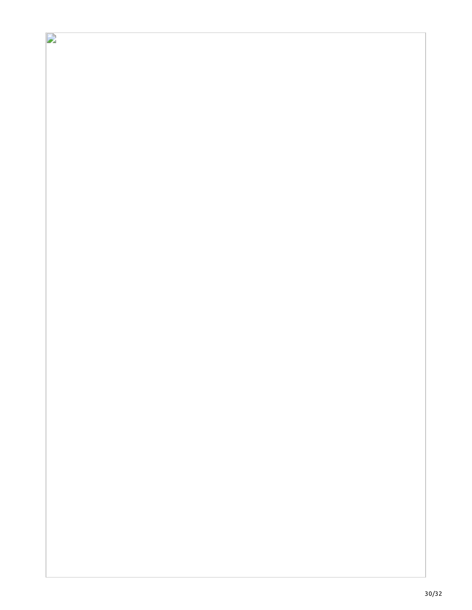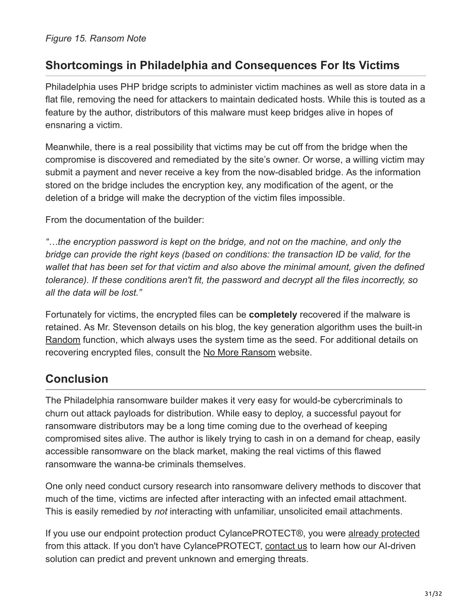### **Shortcomings in Philadelphia and Consequences For Its Victims**

Philadelphia uses PHP bridge scripts to administer victim machines as well as store data in a flat file, removing the need for attackers to maintain dedicated hosts. While this is touted as a feature by the author, distributors of this malware must keep bridges alive in hopes of ensnaring a victim.

Meanwhile, there is a real possibility that victims may be cut off from the bridge when the compromise is discovered and remediated by the site's owner. Or worse, a willing victim may submit a payment and never receive a key from the now-disabled bridge. As the information stored on the bridge includes the encryption key, any modification of the agent, or the deletion of a bridge will make the decryption of the victim files impossible.

From the documentation of the builder:

*"…the encryption password is kept on the bridge, and not on the machine, and only the bridge can provide the right keys (based on conditions: the transaction ID be valid, for the wallet that has been set for that victim and also above the minimal amount, given the defined tolerance). If these conditions aren't fit, the password and decrypt all the files incorrectly, so all the data will be lost."*

Fortunately for victims, the encrypted files can be **completely** recovered if the malware is retained. As Mr. Stevenson details on his blog, the key generation algorithm uses the built-in [Random](https://www.autoitscript.com/autoit3/docs/functions/Random.htm) function, which always uses the system time as the seed. For additional details on recovering encrypted files, consult the [No More Ransom](https://www.nomoreransom.org/) website.

## **Conclusion**

The Philadelphia ransomware builder makes it very easy for would-be cybercriminals to churn out attack payloads for distribution. While easy to deploy, a successful payout for ransomware distributors may be a long time coming due to the overhead of keeping compromised sites alive. The author is likely trying to cash in on a demand for cheap, easily accessible ransomware on the black market, making the real victims of this flawed ransomware the wanna-be criminals themselves.

One only need conduct cursory research into ransomware delivery methods to discover that much of the time, victims are infected after interacting with an infected email attachment. This is easily remedied by *not* interacting with unfamiliar, unsolicited email attachments.

If you use our endpoint protection product CylancePROTECT®, you were [already protected](https://threatvector.cylance.com/en_us/home/https://threatvector.cylance.com/en_us/home/cylance-vs-philadelphia-ransomware.html) from this attack. If you don't have CylancePROTECT, [contact us](https://www.cylance.com/en_us/contact-us.html) to learn how our AI-driven solution can predict and prevent unknown and emerging threats.